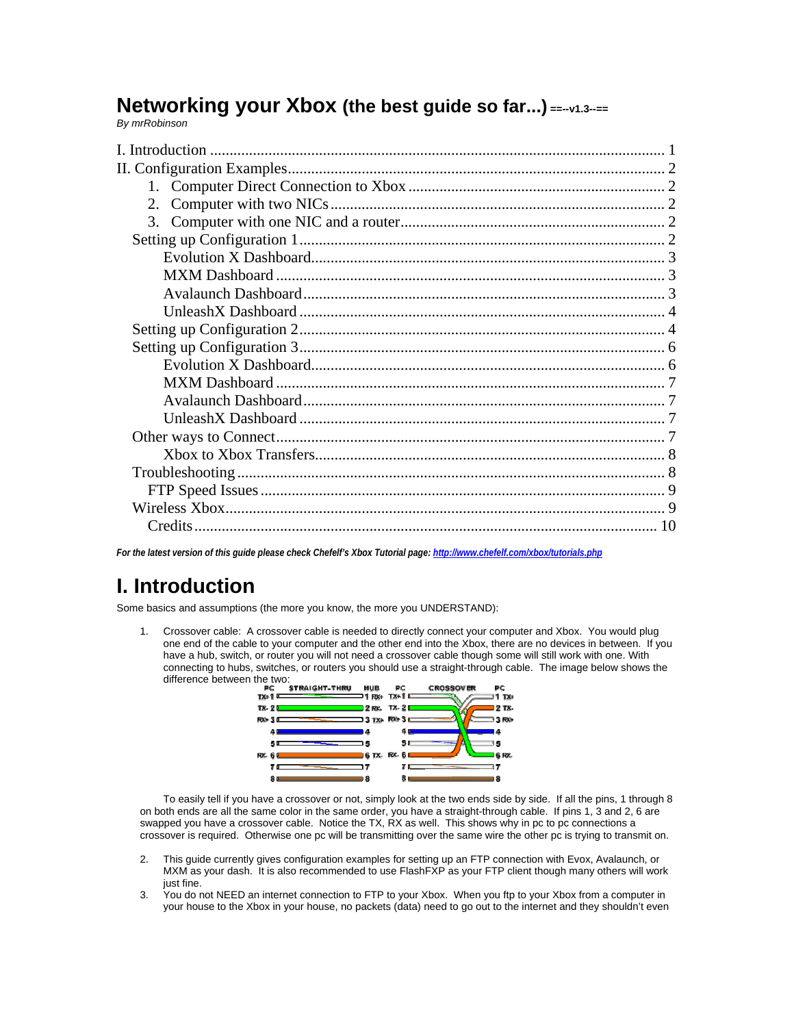# **Networking your Xbox (the best guide so far...) ==--v1.3--==**

*By mrRobinson* 

| I. Introduction |  |
|-----------------|--|
|                 |  |
|                 |  |
| 2.              |  |
|                 |  |
|                 |  |
|                 |  |
|                 |  |
|                 |  |
|                 |  |
|                 |  |
|                 |  |
|                 |  |
|                 |  |
|                 |  |
|                 |  |
|                 |  |
|                 |  |
|                 |  |
|                 |  |
|                 |  |
|                 |  |
|                 |  |

*For the latest version of this guide please check Chefelf's Xbox Tutorial page: http://www.chefelf.com/xbox/tutorials.php* 

# **I. Introduction**

Some basics and assumptions (the more you know, the more you UNDERSTAND):

1. Crossover cable: A crossover cable is needed to directly connect your computer and Xbox. You would plug one end of the cable to your computer and the other end into the Xbox, there are no devices in between. If you have a hub, switch, or router you will not need a crossover cable though some will still work with one. With connecting to hubs, switches, or routers you should use a straight-through cable. The image below shows the difference between the two:<br>**FC STRAIGHT-THRU** 



 To easily tell if you have a crossover or not, simply look at the two ends side by side. If all the pins, 1 through 8 on both ends are all the same color in the same order, you have a straight-through cable. If pins 1, 3 and 2, 6 are swapped you have a crossover cable. Notice the TX, RX as well. This shows why in pc to pc connections a crossover is required. Otherwise one pc will be transmitting over the same wire the other pc is trying to transmit on.

- 2. This guide currently gives configuration examples for setting up an FTP connection with Evox, Avalaunch, or MXM as your dash. It is also recommended to use FlashFXP as your FTP client though many others will work just fine.
- 3. You do not NEED an internet connection to FTP to your Xbox. When you ftp to your Xbox from a computer in your house to the Xbox in your house, no packets (data) need to go out to the internet and they shouldn't even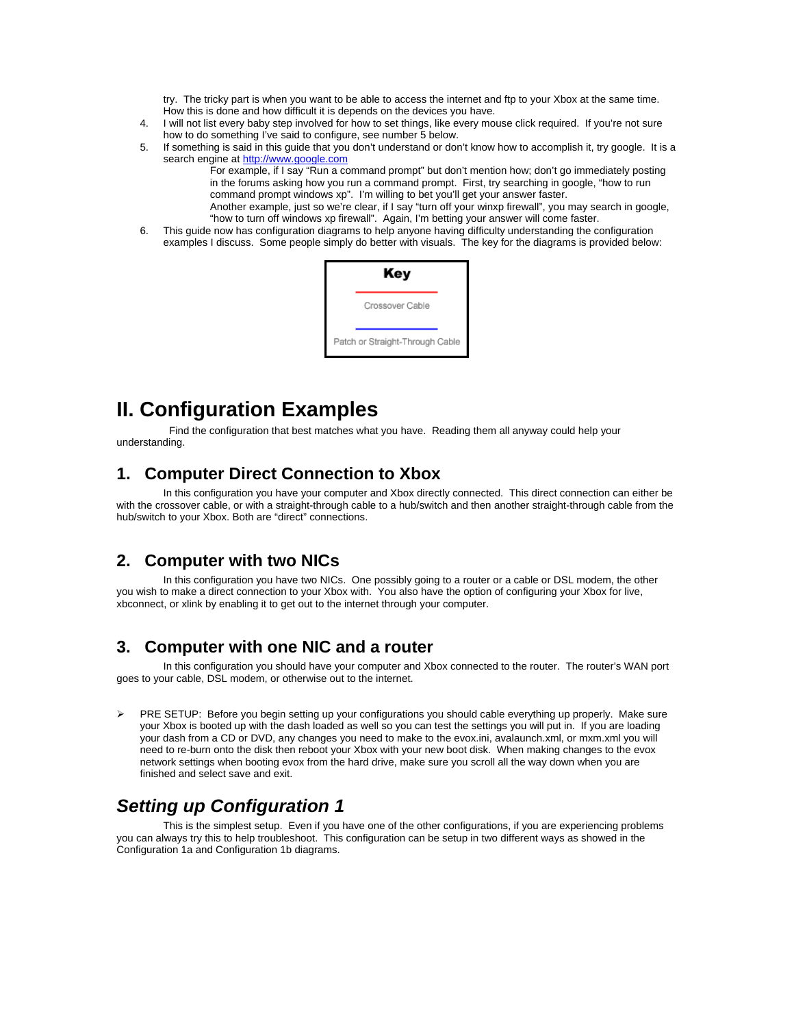try. The tricky part is when you want to be able to access the internet and ftp to your Xbox at the same time. How this is done and how difficult it is depends on the devices you have.

- 4. I will not list every baby step involved for how to set things, like every mouse click required. If you're not sure how to do something I've said to configure, see number 5 below.
- 5. If something is said in this guide that you don't understand or don't know how to accomplish it, try google. It is a search engine at http://www.google.com
	- For example, if I say "Run a command prompt" but don't mention how; don't go immediately posting in the forums asking how you run a command prompt. First, try searching in google, "how to run command prompt windows xp". I'm willing to bet you'll get your answer faster.
	- Another example, just so we're clear, if I say "turn off your winxp firewall", you may search in google, "how to turn off windows xp firewall". Again, I'm betting your answer will come faster.
- 6. This guide now has configuration diagrams to help anyone having difficulty understanding the configuration examples I discuss. Some people simply do better with visuals. The key for the diagrams is provided below:

| Key                             |
|---------------------------------|
| Crossover Cable                 |
| Patch or Straight-Through Cable |

# **II. Configuration Examples**

 Find the configuration that best matches what you have. Reading them all anyway could help your understanding.

#### **1. Computer Direct Connection to Xbox**

 In this configuration you have your computer and Xbox directly connected. This direct connection can either be with the crossover cable, or with a straight-through cable to a hub/switch and then another straight-through cable from the hub/switch to your Xbox. Both are "direct" connections.

#### **2. Computer with two NICs**

 In this configuration you have two NICs. One possibly going to a router or a cable or DSL modem, the other you wish to make a direct connection to your Xbox with. You also have the option of configuring your Xbox for live, xbconnect, or xlink by enabling it to get out to the internet through your computer.

#### **3. Computer with one NIC and a router**

 In this configuration you should have your computer and Xbox connected to the router. The router's WAN port goes to your cable, DSL modem, or otherwise out to the internet.

¾ PRE SETUP: Before you begin setting up your configurations you should cable everything up properly. Make sure your Xbox is booted up with the dash loaded as well so you can test the settings you will put in. If you are loading your dash from a CD or DVD, any changes you need to make to the evox.ini, avalaunch.xml, or mxm.xml you will need to re-burn onto the disk then reboot your Xbox with your new boot disk. When making changes to the evox network settings when booting evox from the hard drive, make sure you scroll all the way down when you are finished and select save and exit.

## *Setting up Configuration 1*

 This is the simplest setup. Even if you have one of the other configurations, if you are experiencing problems you can always try this to help troubleshoot. This configuration can be setup in two different ways as showed in the Configuration 1a and Configuration 1b diagrams.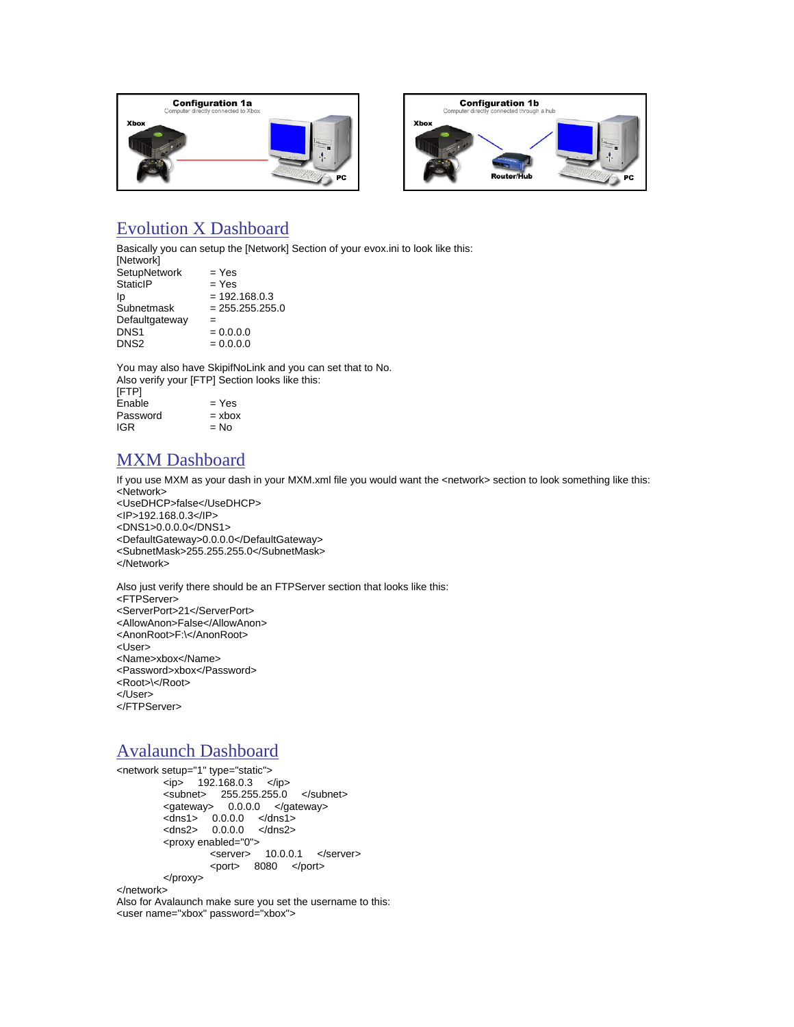



## Evolution X Dashboard

Basically you can setup the [Network] Section of your evox.ini to look like this:

| [Network]        |                   |
|------------------|-------------------|
| SetupNetwork     | $=$ Yes           |
| <b>StaticIP</b>  | $=$ Yes           |
| Ip               | $= 192.168.0.3$   |
| Subnetmask       | $= 255.255.255.0$ |
| Defaultgateway   | =                 |
| DNS <sub>1</sub> | $= 0.0.0.0$       |
| DNS <sub>2</sub> | $= 0.0.0.0$       |
|                  |                   |

You may also have SkipifNoLink and you can set that to No. Also verify your [FTP] Section looks like this: [FTP]  $Enable$  = Yes

| $= xbox$ |
|----------|
| $= No$   |
|          |

## MXM Dashboard

If you use MXM as your dash in your MXM.xml file you would want the <network> section to look something like this: <Network>

<UseDHCP>false</UseDHCP> <IP>192.168.0.3</IP> <DNS1>0.0.0.0</DNS1> <DefaultGateway>0.0.0.0</DefaultGateway> <SubnetMask>255.255.255.0</SubnetMask> </Network>

Also just verify there should be an FTPServer section that looks like this: <FTPServer> <ServerPort>21</ServerPort> <AllowAnon>False</AllowAnon> <AnonRoot>F:\</AnonRoot> <User> <Name>xbox</Name> <Password>xbox</Password> <Root>\</Root> </User> </FTPServer>

## Avalaunch Dashboard

<network setup="1" type="static">  $<$ ip> 192.168.0.3  $<$ /ip> <subnet> 255.255.255.0 </subnet> <gateway> 0.0.0.0 </gateway> <dns1> 0.0.0.0 </dns1> <dns2> 0.0.0.0 </dns2> <proxy enabled="0"> <server> 10.0.0.1 </server> <port> 8080 </port> </proxy>

</network>

Also for Avalaunch make sure you set the username to this: <user name="xbox" password="xbox">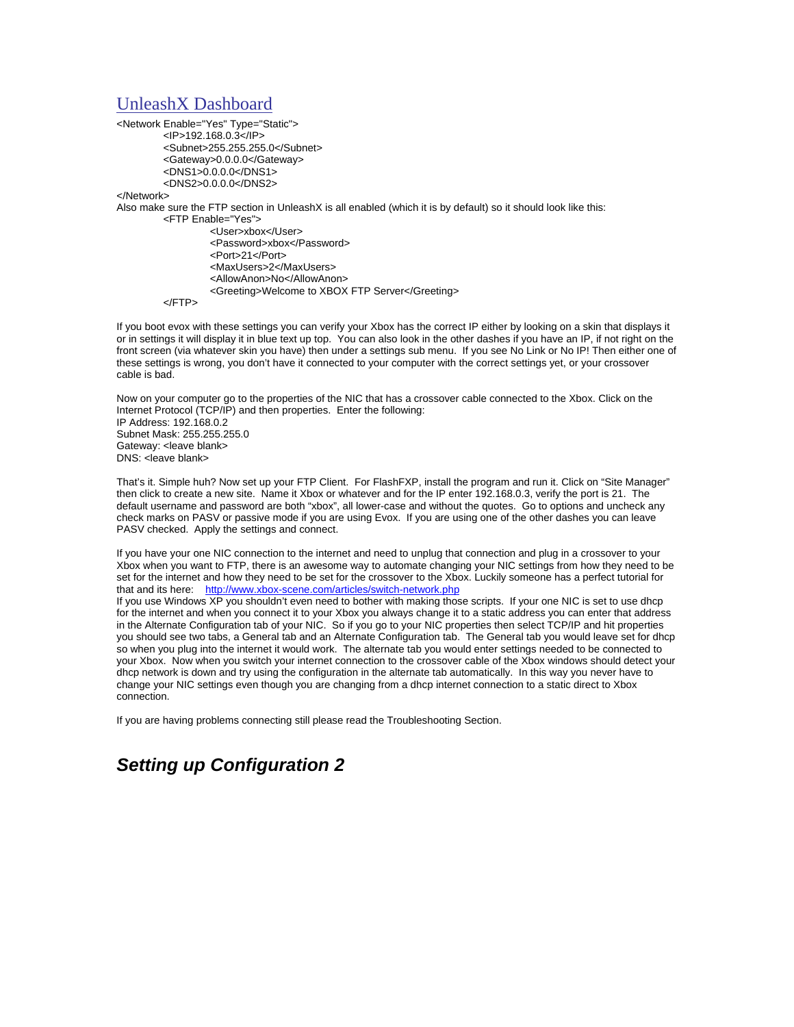#### UnleashX Dashboard

<Network Enable="Yes" Type="Static"> <IP>192.168.0.3</IP> <Subnet>255.255.255.0</Subnet> <Gateway>0.0.0.0</Gateway> <DNS1>0.0.0.0</DNS1> <DNS2>0.0.0.0</DNS2>

</Network>

Also make sure the FTP section in UnleashX is all enabled (which it is by default) so it should look like this:

<FTP Enable="Yes">

 <User>xbox</User> <Password>xbox</Password> <Port>21</Port> <MaxUsers>2</MaxUsers> <AllowAnon>No</AllowAnon> <Greeting>Welcome to XBOX FTP Server</Greeting>

</FTP>

If you boot evox with these settings you can verify your Xbox has the correct IP either by looking on a skin that displays it or in settings it will display it in blue text up top. You can also look in the other dashes if you have an IP, if not right on the front screen (via whatever skin you have) then under a settings sub menu. If you see No Link or No IP! Then either one of these settings is wrong, you don't have it connected to your computer with the correct settings yet, or your crossover cable is bad.

Now on your computer go to the properties of the NIC that has a crossover cable connected to the Xbox. Click on the Internet Protocol (TCP/IP) and then properties. Enter the following: IP Address: 192.168.0.2 Subnet Mask: 255.255.255.0 Gateway: <leave blank> DNS: <leave blank>

That's it. Simple huh? Now set up your FTP Client. For FlashFXP, install the program and run it. Click on "Site Manager" then click to create a new site. Name it Xbox or whatever and for the IP enter 192.168.0.3, verify the port is 21. The default username and password are both "xbox", all lower-case and without the quotes. Go to options and uncheck any check marks on PASV or passive mode if you are using Evox. If you are using one of the other dashes you can leave PASV checked. Apply the settings and connect.

If you have your one NIC connection to the internet and need to unplug that connection and plug in a crossover to your Xbox when you want to FTP, there is an awesome way to automate changing your NIC settings from how they need to be set for the internet and how they need to be set for the crossover to the Xbox. Luckily someone has a perfect tutorial for that and its here: http://www.xbox-scene.com/articles/switch-network.php

If you use Windows XP you shouldn't even need to bother with making those scripts. If your one NIC is set to use dhcp for the internet and when you connect it to your Xbox you always change it to a static address you can enter that address in the Alternate Configuration tab of your NIC. So if you go to your NIC properties then select TCP/IP and hit properties you should see two tabs, a General tab and an Alternate Configuration tab. The General tab you would leave set for dhcp so when you plug into the internet it would work. The alternate tab you would enter settings needed to be connected to your Xbox. Now when you switch your internet connection to the crossover cable of the Xbox windows should detect your dhcp network is down and try using the configuration in the alternate tab automatically. In this way you never have to change your NIC settings even though you are changing from a dhcp internet connection to a static direct to Xbox connection.

If you are having problems connecting still please read the Troubleshooting Section.

## *Setting up Configuration 2*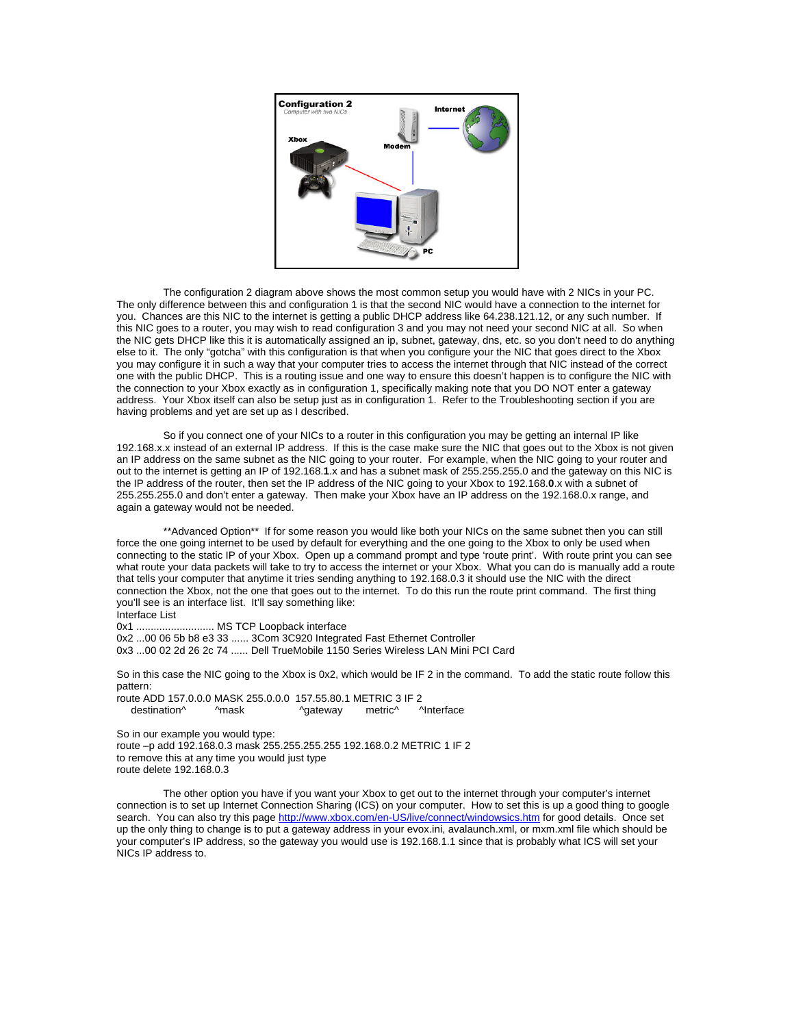

 The configuration 2 diagram above shows the most common setup you would have with 2 NICs in your PC. The only difference between this and configuration 1 is that the second NIC would have a connection to the internet for you. Chances are this NIC to the internet is getting a public DHCP address like 64.238.121.12, or any such number. If this NIC goes to a router, you may wish to read configuration 3 and you may not need your second NIC at all. So when the NIC gets DHCP like this it is automatically assigned an ip, subnet, gateway, dns, etc. so you don't need to do anything else to it. The only "gotcha" with this configuration is that when you configure your the NIC that goes direct to the Xbox you may configure it in such a way that your computer tries to access the internet through that NIC instead of the correct one with the public DHCP. This is a routing issue and one way to ensure this doesn't happen is to configure the NIC with the connection to your Xbox exactly as in configuration 1, specifically making note that you DO NOT enter a gateway address. Your Xbox itself can also be setup just as in configuration 1. Refer to the Troubleshooting section if you are having problems and yet are set up as I described.

So if you connect one of your NICs to a router in this configuration you may be getting an internal IP like 192.168.x.x instead of an external IP address. If this is the case make sure the NIC that goes out to the Xbox is not given an IP address on the same subnet as the NIC going to your router. For example, when the NIC going to your router and out to the internet is getting an IP of 192.168.**1**.x and has a subnet mask of 255.255.255.0 and the gateway on this NIC is the IP address of the router, then set the IP address of the NIC going to your Xbox to 192.168.**0**.x with a subnet of 255.255.255.0 and don't enter a gateway. Then make your Xbox have an IP address on the 192.168.0.x range, and again a gateway would not be needed.

 \*\*Advanced Option\*\* If for some reason you would like both your NICs on the same subnet then you can still force the one going internet to be used by default for everything and the one going to the Xbox to only be used when connecting to the static IP of your Xbox. Open up a command prompt and type 'route print'. With route print you can see what route your data packets will take to try to access the internet or your Xbox. What you can do is manually add a route that tells your computer that anytime it tries sending anything to 192.168.0.3 it should use the NIC with the direct connection the Xbox, not the one that goes out to the internet. To do this run the route print command. The first thing you'll see is an interface list. It'll say something like:

#### Interface List

0x1 ........................... MS TCP Loopback interface

0x2 ...00 06 5b b8 e3 33 ...... 3Com 3C920 Integrated Fast Ethernet Controller 0x3 ...00 02 2d 26 2c 74 ...... Dell TrueMobile 1150 Series Wireless LAN Mini PCI Card

So in this case the NIC going to the Xbox is 0x2, which would be IF 2 in the command. To add the static route follow this pattern:

route ADD 157.0.0.0 MASK 255.0.0.0 157.55.80.1 METRIC 3 IF 2 destination^ ^mask ^gateway metric^ ^Interface

So in our example you would type: route –p add 192.168.0.3 mask 255.255.255.255 192.168.0.2 METRIC 1 IF 2 to remove this at any time you would just type route delete 192.168.0.3

 The other option you have if you want your Xbox to get out to the internet through your computer's internet connection is to set up Internet Connection Sharing (ICS) on your computer. How to set this is up a good thing to google search. You can also try this page http://www.xbox.com/en-US/live/connect/windowsics.htm for good details. Once set up the only thing to change is to put a gateway address in your evox.ini, avalaunch.xml, or mxm.xml file which should be your computer's IP address, so the gateway you would use is 192.168.1.1 since that is probably what ICS will set your NICs IP address to.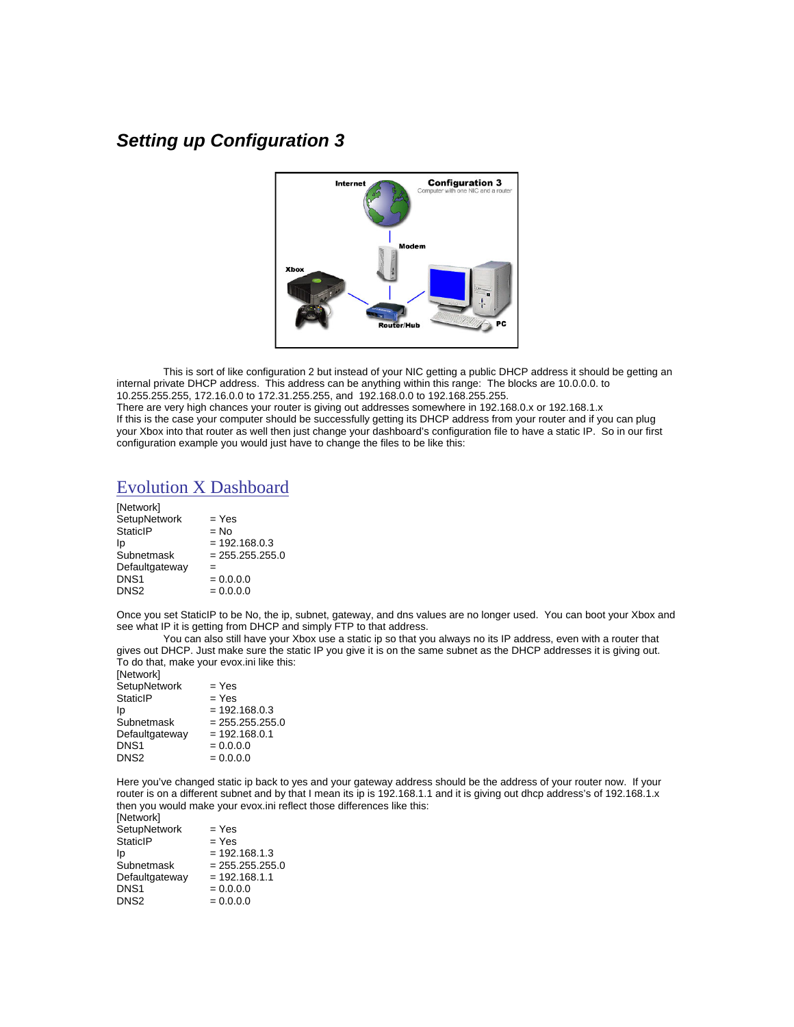## *Setting up Configuration 3*



 This is sort of like configuration 2 but instead of your NIC getting a public DHCP address it should be getting an internal private DHCP address. This address can be anything within this range: The blocks are 10.0.0.0. to 10.255.255.255, 172.16.0.0 to 172.31.255.255, and 192.168.0.0 to 192.168.255.255. There are very high chances your router is giving out addresses somewhere in 192.168.0.x or 192.168.1.x If this is the case your computer should be successfully getting its DHCP address from your router and if you can plug your Xbox into that router as well then just change your dashboard's configuration file to have a static IP. So in our first configuration example you would just have to change the files to be like this:

#### Evolution X Dashboard

| $=$ Yes           |
|-------------------|
| $= No$            |
| $= 192.168.0.3$   |
| $= 255.255.255.0$ |
| =                 |
| $= 0.0.0.0$       |
| $= 0.0.0.0$       |
|                   |

Once you set StaticIP to be No, the ip, subnet, gateway, and dns values are no longer used. You can boot your Xbox and see what IP it is getting from DHCP and simply FTP to that address.

 You can also still have your Xbox use a static ip so that you always no its IP address, even with a router that gives out DHCP. Just make sure the static IP you give it is on the same subnet as the DHCP addresses it is giving out. To do that, make your evox.ini like this:

| [Network]           |                   |
|---------------------|-------------------|
| <b>SetupNetwork</b> | $=$ Yes           |
| <b>StaticIP</b>     | $=$ Yes           |
| Ip                  | $= 192.168.0.3$   |
| Subnetmask          | $= 255.255.255.0$ |
| Defaultgateway      | $= 192.168.0.1$   |
| DNS1                | $= 0.0.0.0$       |
| DNS2                | $= 0.0.0.0$       |

Here you've changed static ip back to yes and your gateway address should be the address of your router now. If your router is on a different subnet and by that I mean its ip is 192.168.1.1 and it is giving out dhcp address's of 192.168.1.x then you would make your evox.ini reflect those differences like this:  $[Not work]$ 

| 11951001N           |                   |
|---------------------|-------------------|
| <b>SetupNetwork</b> | = Yes             |
| StaticIP            | $=$ Yes           |
| Ip                  | $= 192.168.1.3$   |
| Subnetmask          | $= 255.255.255.0$ |
| Defaultgateway      | $= 192.168.1.1$   |
| DNS1                | $= 0.0.0.0$       |
| DNS2                | $= 0.0.0.0$       |
|                     |                   |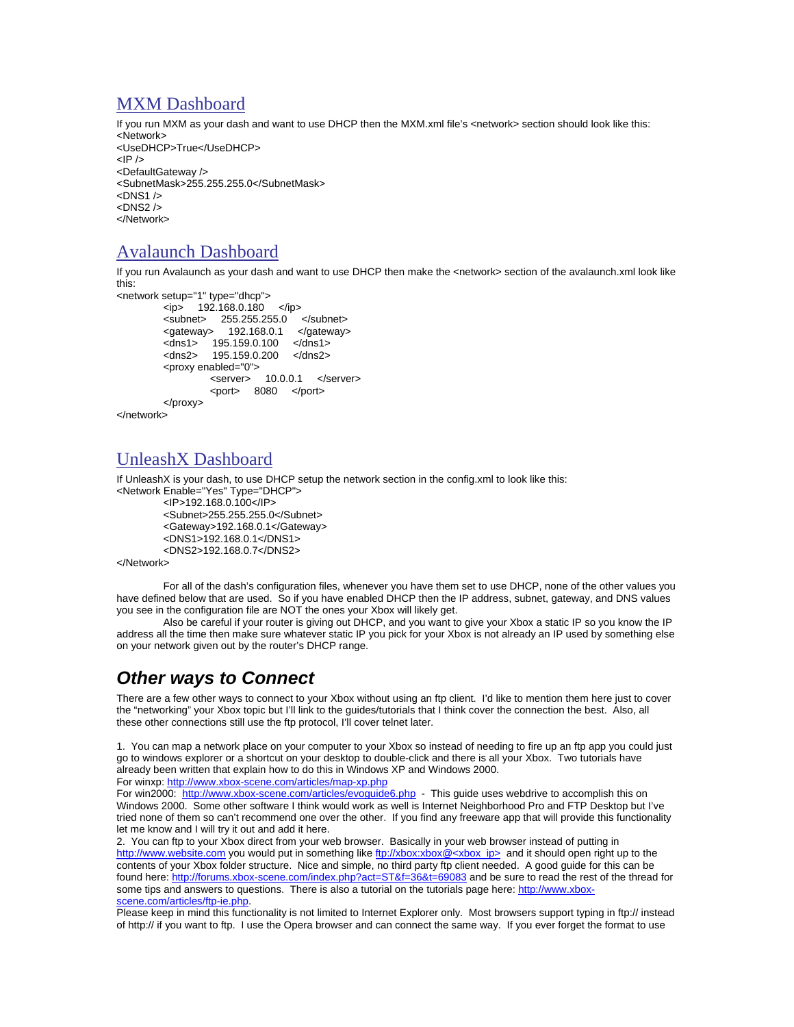#### MXM Dashboard

If you run MXM as your dash and want to use DHCP then the MXM.xml file's <network> section should look like this: <Network> <UseDHCP>True</UseDHCP>  $<$ IP  $/$ <DefaultGateway /> <SubnetMask>255.255.255.0</SubnetMask>  $<$ DNS1  $/$ >  $\n <$ DNS<sub>2</sub>  $\wedge$ </Network>

### Avalaunch Dashboard

If you run Avalaunch as your dash and want to use DHCP then make the <network> section of the avalaunch.xml look like this:

```
<network setup="1" type="dhcp"> 
        <ip> 192.168.0.180 </ip>
        \langlesubnet> 255.255.255.0 \langle/subnet>
         <gateway> 192.168.0.1 </gateway> 
 <dns1> 195.159.0.100 </dns1> 
 <dns2> 195.159.0.200 </dns2> 
         <proxy enabled="0"> 
                  <server> 10.0.0.1 </server> 
                  <port> 8080 </port> 
         </proxy> 
</network>
```
## UnleashX Dashboard

If UnleashX is your dash, to use DHCP setup the network section in the config.xml to look like this:

<Network Enable="Yes" Type="DHCP"> <IP>192.168.0.100</IP> <Subnet>255.255.255.0</Subnet> <Gateway>192.168.0.1</Gateway> <DNS1>192.168.0.1</DNS1> <DNS2>192.168.0.7</DNS2>

</Network>

 For all of the dash's configuration files, whenever you have them set to use DHCP, none of the other values you have defined below that are used. So if you have enabled DHCP then the IP address, subnet, gateway, and DNS values you see in the configuration file are NOT the ones your Xbox will likely get.

Also be careful if your router is giving out DHCP, and you want to give your Xbox a static IP so you know the IP address all the time then make sure whatever static IP you pick for your Xbox is not already an IP used by something else on your network given out by the router's DHCP range.

## *Other ways to Connect*

There are a few other ways to connect to your Xbox without using an ftp client. I'd like to mention them here just to cover the "networking" your Xbox topic but I'll link to the guides/tutorials that I think cover the connection the best. Also, all these other connections still use the ftp protocol, I'll cover telnet later.

1. You can map a network place on your computer to your Xbox so instead of needing to fire up an ftp app you could just go to windows explorer or a shortcut on your desktop to double-click and there is all your Xbox. Two tutorials have already been written that explain how to do this in Windows XP and Windows 2000.

For winxp: http://www.xbox-scene.com/articles/map-xp.php

For win2000: http://www.xbox-scene.com/articles/evoguide6.php - This guide uses webdrive to accomplish this on Windows 2000. Some other software I think would work as well is Internet Neighborhood Pro and FTP Desktop but I've tried none of them so can't recommend one over the other. If you find any freeware app that will provide this functionality let me know and I will try it out and add it here.

2. You can ftp to your Xbox direct from your web browser. Basically in your web browser instead of putting in http://www.website.com you would put in something like ftp://xbox:xbox@<xbox\_ip> and it should open right up to the contents of your Xbox folder structure. Nice and simple, no third party ftp client needed. A good guide for this can be found here: http://forums.xbox-scene.com/index.php?act=ST&f=36&t=69083 and be sure to read the rest of the thread for some tips and answers to questions. There is also a tutorial on the tutorials page here: http://www.xboxscene.com/articles/ftp-ie.php.

Please keep in mind this functionality is not limited to Internet Explorer only. Most browsers support typing in ftp:// instead of http:// if you want to ftp. I use the Opera browser and can connect the same way. If you ever forget the format to use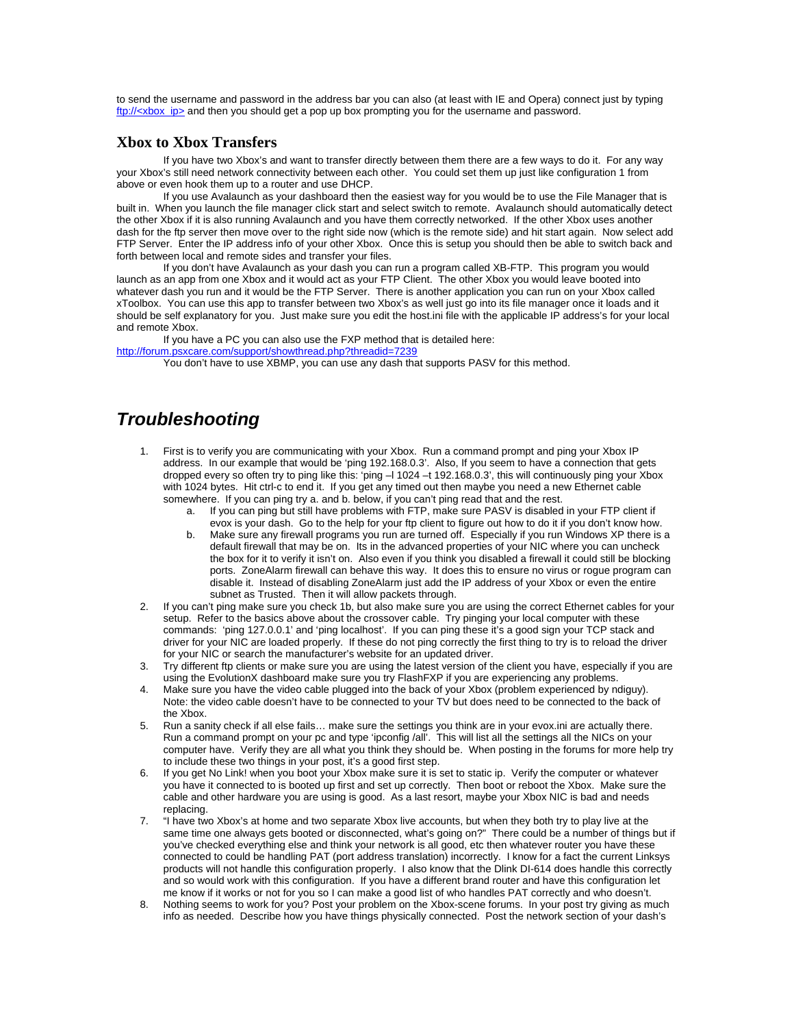to send the username and password in the address bar you can also (at least with IE and Opera) connect just by typing ftp://<xbox\_ip> and then you should get a pop up box prompting you for the username and password.

#### **Xbox to Xbox Transfers**

 If you have two Xbox's and want to transfer directly between them there are a few ways to do it. For any way your Xbox's still need network connectivity between each other. You could set them up just like configuration 1 from above or even hook them up to a router and use DHCP.

If you use Avalaunch as your dashboard then the easiest way for you would be to use the File Manager that is built in. When you launch the file manager click start and select switch to remote. Avalaunch should automatically detect the other Xbox if it is also running Avalaunch and you have them correctly networked. If the other Xbox uses another dash for the ftp server then move over to the right side now (which is the remote side) and hit start again. Now select add FTP Server. Enter the IP address info of your other Xbox. Once this is setup you should then be able to switch back and forth between local and remote sides and transfer your files.

If you don't have Avalaunch as your dash you can run a program called XB-FTP. This program you would launch as an app from one Xbox and it would act as your FTP Client. The other Xbox you would leave booted into whatever dash you run and it would be the FTP Server. There is another application you can run on your Xbox called xToolbox. You can use this app to transfer between two Xbox's as well just go into its file manager once it loads and it should be self explanatory for you. Just make sure you edit the host.ini file with the applicable IP address's for your local and remote Xbox.

If you have a PC you can also use the FXP method that is detailed here: http://forum.psxcare.com/support/showthread.php?threadid=7239

You don't have to use XBMP, you can use any dash that supports PASV for this method.

## *Troubleshooting*

- 1. First is to verify you are communicating with your Xbox. Run a command prompt and ping your Xbox IP address. In our example that would be 'ping 192.168.0.3'. Also, If you seem to have a connection that gets dropped every so often try to ping like this: 'ping -l 1024 -t 192.168.0.3', this will continuously ping your Xbox with 1024 bytes. Hit ctrl-c to end it. If you get any timed out then maybe you need a new Ethernet cable somewhere. If you can ping try a. and b. below, if you can't ping read that and the rest.
	- a. If you can ping but still have problems with FTP, make sure PASV is disabled in your FTP client if evox is your dash. Go to the help for your ftp client to figure out how to do it if you don't know how.
	- b. Make sure any firewall programs you run are turned off. Especially if you run Windows XP there is a default firewall that may be on. Its in the advanced properties of your NIC where you can uncheck the box for it to verify it isn't on. Also even if you think you disabled a firewall it could still be blocking ports. ZoneAlarm firewall can behave this way. It does this to ensure no virus or rogue program can disable it. Instead of disabling ZoneAlarm just add the IP address of your Xbox or even the entire subnet as Trusted. Then it will allow packets through.
- 2. If you can't ping make sure you check 1b, but also make sure you are using the correct Ethernet cables for your setup. Refer to the basics above about the crossover cable. Try pinging your local computer with these commands: 'ping 127.0.0.1' and 'ping localhost'. If you can ping these it's a good sign your TCP stack and driver for your NIC are loaded properly. If these do not ping correctly the first thing to try is to reload the driver for your NIC or search the manufacturer's website for an updated driver.
- 3. Try different ftp clients or make sure you are using the latest version of the client you have, especially if you are using the EvolutionX dashboard make sure you try FlashFXP if you are experiencing any problems.
- 4. Make sure you have the video cable plugged into the back of your Xbox (problem experienced by ndiguy). Note: the video cable doesn't have to be connected to your TV but does need to be connected to the back of the Xbox.
- 5. Run a sanity check if all else fails… make sure the settings you think are in your evox.ini are actually there. Run a command prompt on your pc and type 'ipconfig /all'. This will list all the settings all the NICs on your computer have. Verify they are all what you think they should be. When posting in the forums for more help try to include these two things in your post, it's a good first step.
- 6. If you get No Link! when you boot your Xbox make sure it is set to static ip. Verify the computer or whatever you have it connected to is booted up first and set up correctly. Then boot or reboot the Xbox. Make sure the cable and other hardware you are using is good. As a last resort, maybe your Xbox NIC is bad and needs replacing.
- 7. "I have two Xbox's at home and two separate Xbox live accounts, but when they both try to play live at the same time one always gets booted or disconnected, what's going on?" There could be a number of things but if you've checked everything else and think your network is all good, etc then whatever router you have these connected to could be handling PAT (port address translation) incorrectly. I know for a fact the current Linksys products will not handle this configuration properly. I also know that the Dlink DI-614 does handle this correctly and so would work with this configuration. If you have a different brand router and have this configuration let me know if it works or not for you so I can make a good list of who handles PAT correctly and who doesn't.
- 8. Nothing seems to work for you? Post your problem on the Xbox-scene forums. In your post try giving as much info as needed. Describe how you have things physically connected. Post the network section of your dash's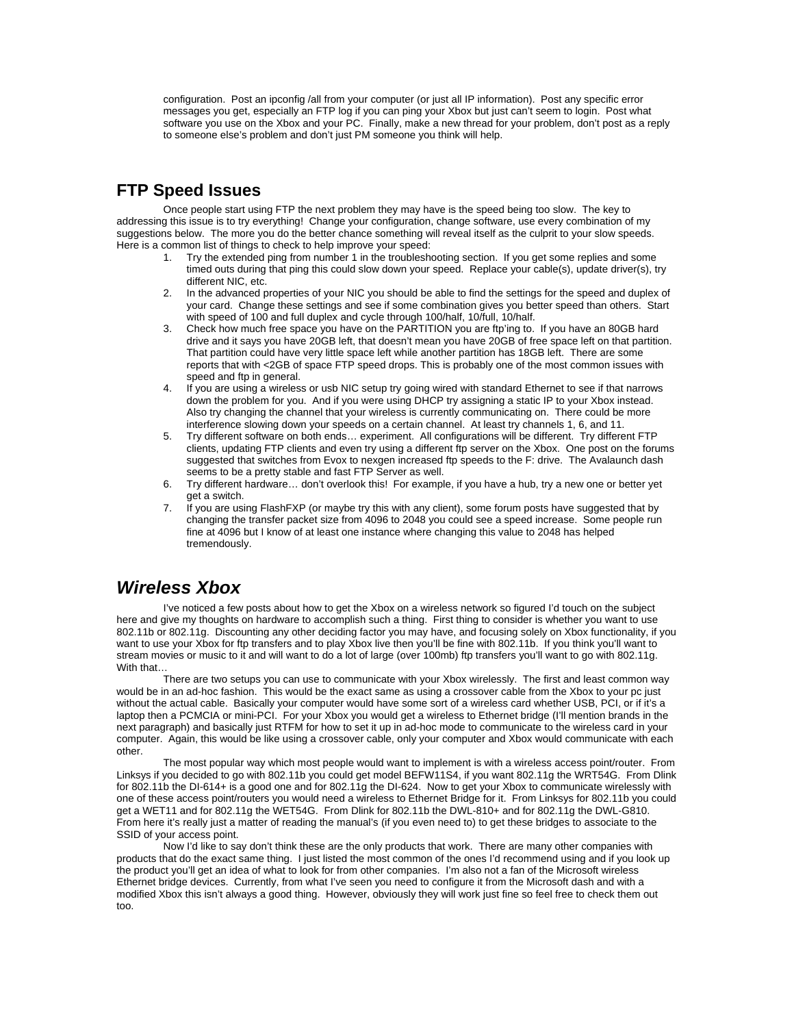configuration. Post an ipconfig /all from your computer (or just all IP information). Post any specific error messages you get, especially an FTP log if you can ping your Xbox but just can't seem to login. Post what software you use on the Xbox and your PC. Finally, make a new thread for your problem, don't post as a reply to someone else's problem and don't just PM someone you think will help.

#### **FTP Speed Issues**

 Once people start using FTP the next problem they may have is the speed being too slow. The key to addressing this issue is to try everything! Change your configuration, change software, use every combination of my suggestions below. The more you do the better chance something will reveal itself as the culprit to your slow speeds. Here is a common list of things to check to help improve your speed:

- 1. Try the extended ping from number 1 in the troubleshooting section. If you get some replies and some timed outs during that ping this could slow down your speed. Replace your cable(s), update driver(s), try different NIC, etc.
- 2. In the advanced properties of your NIC you should be able to find the settings for the speed and duplex of your card. Change these settings and see if some combination gives you better speed than others. Start with speed of 100 and full duplex and cycle through 100/half, 10/full, 10/half.
- 3. Check how much free space you have on the PARTITION you are ftp'ing to. If you have an 80GB hard drive and it says you have 20GB left, that doesn't mean you have 20GB of free space left on that partition. That partition could have very little space left while another partition has 18GB left. There are some reports that with <2GB of space FTP speed drops. This is probably one of the most common issues with speed and ftp in general.
- 4. If you are using a wireless or usb NIC setup try going wired with standard Ethernet to see if that narrows down the problem for you. And if you were using DHCP try assigning a static IP to your Xbox instead. Also try changing the channel that your wireless is currently communicating on. There could be more interference slowing down your speeds on a certain channel. At least try channels 1, 6, and 11.
- 5. Try different software on both ends… experiment. All configurations will be different. Try different FTP clients, updating FTP clients and even try using a different ftp server on the Xbox. One post on the forums suggested that switches from Evox to nexgen increased ftp speeds to the F: drive. The Avalaunch dash seems to be a pretty stable and fast FTP Server as well.
- 6. Try different hardware… don't overlook this! For example, if you have a hub, try a new one or better yet get a switch.
- 7. If you are using FlashFXP (or maybe try this with any client), some forum posts have suggested that by changing the transfer packet size from 4096 to 2048 you could see a speed increase. Some people run fine at 4096 but I know of at least one instance where changing this value to 2048 has helped tremendously.

#### *Wireless Xbox*

 I've noticed a few posts about how to get the Xbox on a wireless network so figured I'd touch on the subject here and give my thoughts on hardware to accomplish such a thing. First thing to consider is whether you want to use 802.11b or 802.11g. Discounting any other deciding factor you may have, and focusing solely on Xbox functionality, if you want to use your Xbox for ftp transfers and to play Xbox live then you'll be fine with 802.11b. If you think you'll want to stream movies or music to it and will want to do a lot of large (over 100mb) ftp transfers you'll want to go with 802.11g. With that…

 There are two setups you can use to communicate with your Xbox wirelessly. The first and least common way would be in an ad-hoc fashion. This would be the exact same as using a crossover cable from the Xbox to your pc just without the actual cable. Basically your computer would have some sort of a wireless card whether USB, PCI, or if it's a laptop then a PCMCIA or mini-PCI. For your Xbox you would get a wireless to Ethernet bridge (I'll mention brands in the next paragraph) and basically just RTFM for how to set it up in ad-hoc mode to communicate to the wireless card in your computer. Again, this would be like using a crossover cable, only your computer and Xbox would communicate with each other.

 The most popular way which most people would want to implement is with a wireless access point/router. From Linksys if you decided to go with 802.11b you could get model BEFW11S4, if you want 802.11g the WRT54G. From Dlink for 802.11b the DI-614+ is a good one and for 802.11g the DI-624. Now to get your Xbox to communicate wirelessly with one of these access point/routers you would need a wireless to Ethernet Bridge for it. From Linksys for 802.11b you could get a WET11 and for 802.11g the WET54G. From Dlink for 802.11b the DWL-810+ and for 802.11g the DWL-G810. From here it's really just a matter of reading the manual's (if you even need to) to get these bridges to associate to the SSID of your access point.

 Now I'd like to say don't think these are the only products that work. There are many other companies with products that do the exact same thing. I just listed the most common of the ones I'd recommend using and if you look up the product you'll get an idea of what to look for from other companies. I'm also not a fan of the Microsoft wireless Ethernet bridge devices. Currently, from what I've seen you need to configure it from the Microsoft dash and with a modified Xbox this isn't always a good thing. However, obviously they will work just fine so feel free to check them out too.